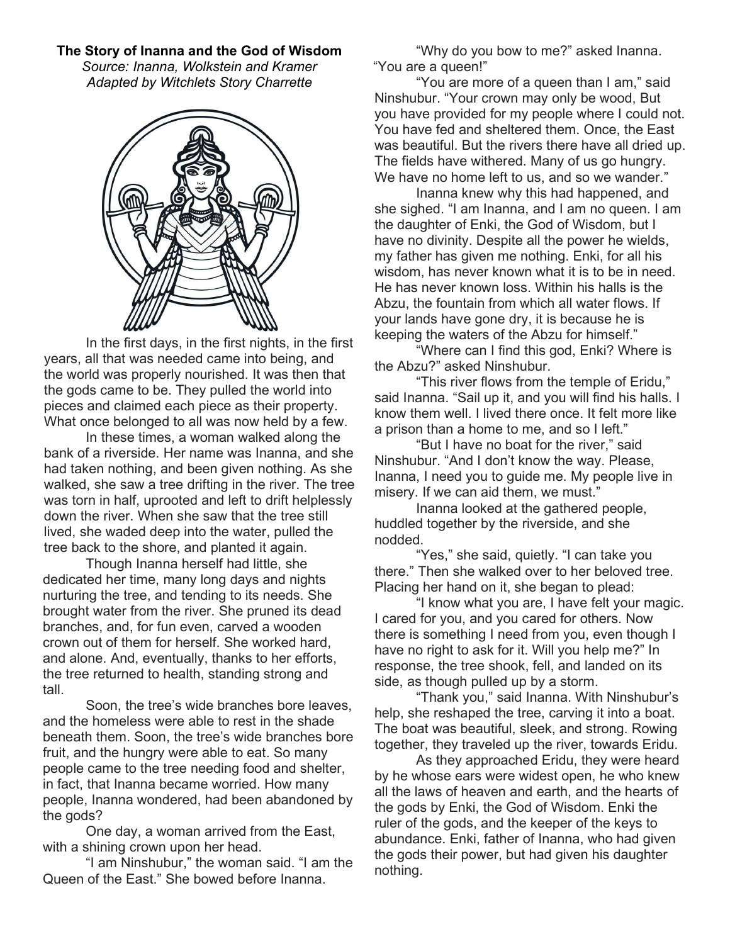## The Story of Inanna and the God of Wisdom

Source: Inanna, Wolkstein and Kramer Adapted by Witchlets Story Charrette



In the first days, in the first nights, in the first years, all that was needed came into being, and the world was properly nourished. It was then that the gods came to be. They pulled the world into pieces and claimed each piece as their property. What once belonged to all was now held by a few.

 In these times, a woman walked along the bank of a riverside. Her name was Inanna, and she had taken nothing, and been given nothing. As she walked, she saw a tree drifting in the river. The tree was torn in half, uprooted and left to drift helplessly down the river. When she saw that the tree still lived, she waded deep into the water, pulled the tree back to the shore, and planted it again.

 Though Inanna herself had little, she dedicated her time, many long days and nights nurturing the tree, and tending to its needs. She brought water from the river. She pruned its dead branches, and, for fun even, carved a wooden crown out of them for herself. She worked hard, and alone. And, eventually, thanks to her efforts, the tree returned to health, standing strong and tall.

 Soon, the tree's wide branches bore leaves, and the homeless were able to rest in the shade beneath them. Soon, the tree's wide branches bore fruit, and the hungry were able to eat. So many people came to the tree needing food and shelter, in fact, that Inanna became worried. How many people, Inanna wondered, had been abandoned by the gods?

 One day, a woman arrived from the East, with a shining crown upon her head.

"I am Ninshubur," the woman said. "I am the Queen of the East." She bowed before Inanna.

 "Why do you bow to me?" asked Inanna. "You are a queen!"

 "You are more of a queen than I am," said Ninshubur. "Your crown may only be wood, But you have provided for my people where I could not. You have fed and sheltered them. Once, the East was beautiful. But the rivers there have all dried up. The fields have withered. Many of us go hungry. We have no home left to us, and so we wander."

 Inanna knew why this had happened, and she sighed. "I am Inanna, and I am no queen. I am the daughter of Enki, the God of Wisdom, but I have no divinity. Despite all the power he wields, my father has given me nothing. Enki, for all his wisdom, has never known what it is to be in need. He has never known loss. Within his halls is the Abzu, the fountain from which all water flows. If your lands have gone dry, it is because he is keeping the waters of the Abzu for himself."

 "Where can I find this god, Enki? Where is the Abzu?" asked Ninshubur.

 "This river flows from the temple of Eridu," said Inanna. "Sail up it, and you will find his halls. I know them well. I lived there once. It felt more like a prison than a home to me, and so I left."

"But I have no boat for the river," said Ninshubur. "And I don't know the way. Please, Inanna, I need you to guide me. My people live in misery. If we can aid them, we must."

 Inanna looked at the gathered people, huddled together by the riverside, and she nodded.

"Yes," she said, quietly. "I can take you there." Then she walked over to her beloved tree. Placing her hand on it, she began to plead:

"I know what you are, I have felt your magic. I cared for you, and you cared for others. Now there is something I need from you, even though I have no right to ask for it. Will you help me?" In response, the tree shook, fell, and landed on its side, as though pulled up by a storm.

"Thank you," said Inanna. With Ninshubur's help, she reshaped the tree, carving it into a boat. The boat was beautiful, sleek, and strong. Rowing together, they traveled up the river, towards Eridu.

 As they approached Eridu, they were heard by he whose ears were widest open, he who knew all the laws of heaven and earth, and the hearts of the gods by Enki, the God of Wisdom. Enki the ruler of the gods, and the keeper of the keys to abundance. Enki, father of Inanna, who had given the gods their power, but had given his daughter nothing.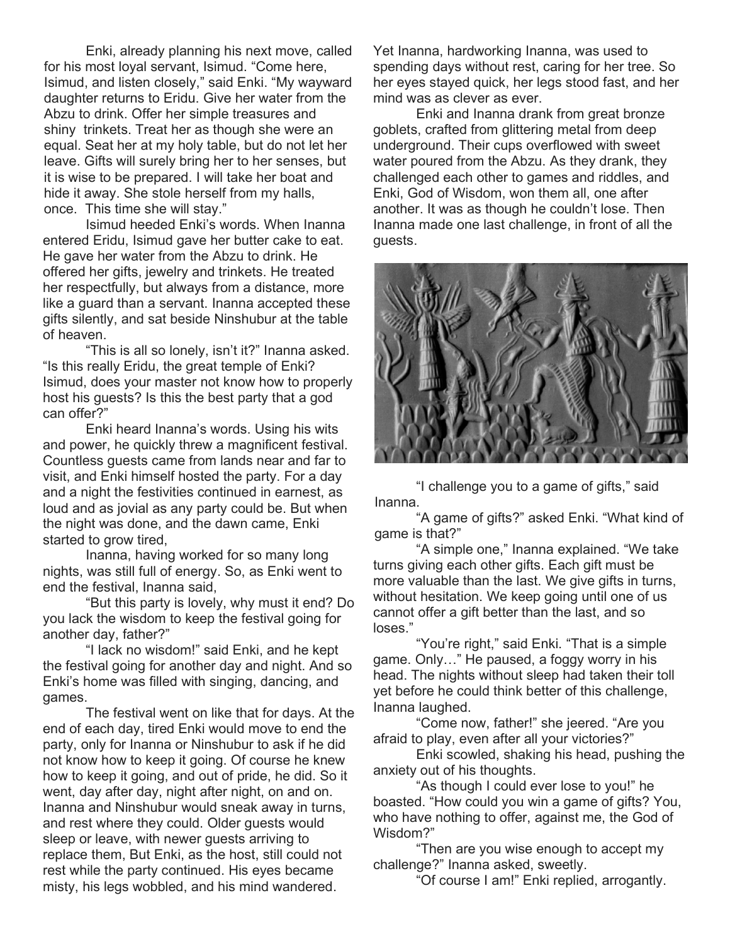Enki, already planning his next move, called for his most loyal servant, Isimud. "Come here, Isimud, and listen closely," said Enki. "My wayward daughter returns to Eridu. Give her water from the Abzu to drink. Offer her simple treasures and shiny trinkets. Treat her as though she were an equal. Seat her at my holy table, but do not let her leave. Gifts will surely bring her to her senses, but it is wise to be prepared. I will take her boat and hide it away. She stole herself from my halls, once. This time she will stay."

 Isimud heeded Enki's words. When Inanna entered Eridu, Isimud gave her butter cake to eat. He gave her water from the Abzu to drink. He offered her gifts, jewelry and trinkets. He treated her respectfully, but always from a distance, more like a guard than a servant. Inanna accepted these gifts silently, and sat beside Ninshubur at the table of heaven.

 "This is all so lonely, isn't it?" Inanna asked. "Is this really Eridu, the great temple of Enki? Isimud, does your master not know how to properly host his guests? Is this the best party that a god can offer?"

 Enki heard Inanna's words. Using his wits and power, he quickly threw a magnificent festival. Countless guests came from lands near and far to visit, and Enki himself hosted the party. For a day and a night the festivities continued in earnest, as loud and as jovial as any party could be. But when the night was done, and the dawn came, Enki started to grow tired,

 Inanna, having worked for so many long nights, was still full of energy. So, as Enki went to end the festival, Inanna said,

 "But this party is lovely, why must it end? Do you lack the wisdom to keep the festival going for another day, father?"

 "I lack no wisdom!" said Enki, and he kept the festival going for another day and night. And so Enki's home was filled with singing, dancing, and games.

 The festival went on like that for days. At the end of each day, tired Enki would move to end the party, only for Inanna or Ninshubur to ask if he did not know how to keep it going. Of course he knew how to keep it going, and out of pride, he did. So it went, day after day, night after night, on and on. Inanna and Ninshubur would sneak away in turns, and rest where they could. Older guests would sleep or leave, with newer guests arriving to replace them, But Enki, as the host, still could not rest while the party continued. His eyes became misty, his legs wobbled, and his mind wandered.

Yet Inanna, hardworking Inanna, was used to spending days without rest, caring for her tree. So her eyes stayed quick, her legs stood fast, and her mind was as clever as ever.

 Enki and Inanna drank from great bronze goblets, crafted from glittering metal from deep underground. Their cups overflowed with sweet water poured from the Abzu. As they drank, they challenged each other to games and riddles, and Enki, God of Wisdom, won them all, one after another. It was as though he couldn't lose. Then Inanna made one last challenge, in front of all the guests.



"I challenge you to a game of gifts," said Inanna.

 "A game of gifts?" asked Enki. "What kind of game is that?"

 "A simple one," Inanna explained. "We take turns giving each other gifts. Each gift must be more valuable than the last. We give gifts in turns, without hesitation. We keep going until one of us cannot offer a gift better than the last, and so loses."

 "You're right," said Enki. "That is a simple game. Only…" He paused, a foggy worry in his head. The nights without sleep had taken their toll yet before he could think better of this challenge, Inanna laughed.

 "Come now, father!" she jeered. "Are you afraid to play, even after all your victories?"

 Enki scowled, shaking his head, pushing the anxiety out of his thoughts.

 "As though I could ever lose to you!" he boasted. "How could you win a game of gifts? You, who have nothing to offer, against me, the God of Wisdom?"

 "Then are you wise enough to accept my challenge?" Inanna asked, sweetly.

"Of course I am!" Enki replied, arrogantly.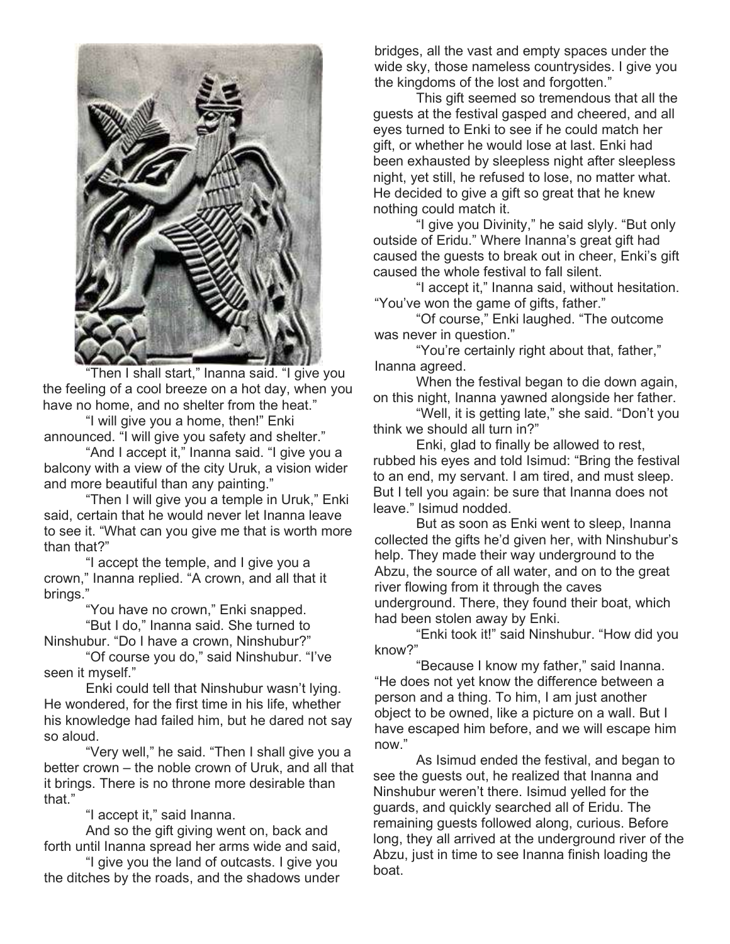

Then I shall start," Inanna said. "I give you the feeling of a cool breeze on a hot day, when you have no home, and no shelter from the heat."

 "I will give you a home, then!" Enki announced. "I will give you safety and shelter."

 "And I accept it," Inanna said. "I give you a balcony with a view of the city Uruk, a vision wider and more beautiful than any painting."

 "Then I will give you a temple in Uruk," Enki said, certain that he would never let Inanna leave to see it. "What can you give me that is worth more than that?"

 "I accept the temple, and I give you a crown," Inanna replied. "A crown, and all that it brings."

 "You have no crown," Enki snapped. "But I do," Inanna said. She turned to

Ninshubur. "Do I have a crown, Ninshubur?"

 "Of course you do," said Ninshubur. "I've seen it myself."

 Enki could tell that Ninshubur wasn't lying. He wondered, for the first time in his life, whether his knowledge had failed him, but he dared not say so aloud.

 "Very well," he said. "Then I shall give you a better crown – the noble crown of Uruk, and all that it brings. There is no throne more desirable than that."

"I accept it," said Inanna.

 And so the gift giving went on, back and forth until Inanna spread her arms wide and said,

 "I give you the land of outcasts. I give you the ditches by the roads, and the shadows under bridges, all the vast and empty spaces under the wide sky, those nameless countrysides. I give you the kingdoms of the lost and forgotten."

 This gift seemed so tremendous that all the guests at the festival gasped and cheered, and all eyes turned to Enki to see if he could match her gift, or whether he would lose at last. Enki had been exhausted by sleepless night after sleepless night, yet still, he refused to lose, no matter what. He decided to give a gift so great that he knew nothing could match it.

 "I give you Divinity," he said slyly. "But only outside of Eridu." Where Inanna's great gift had caused the guests to break out in cheer, Enki's gift caused the whole festival to fall silent.

 "I accept it," Inanna said, without hesitation. "You've won the game of gifts, father."

 "Of course," Enki laughed. "The outcome was never in question."

 "You're certainly right about that, father," Inanna agreed.

 When the festival began to die down again, on this night, Inanna yawned alongside her father.

 "Well, it is getting late," she said. "Don't you think we should all turn in?"

 Enki, glad to finally be allowed to rest, rubbed his eyes and told Isimud: "Bring the festival to an end, my servant. I am tired, and must sleep. But I tell you again: be sure that Inanna does not leave." Isimud nodded.

 But as soon as Enki went to sleep, Inanna collected the gifts he'd given her, with Ninshubur's help. They made their way underground to the Abzu, the source of all water, and on to the great river flowing from it through the caves underground. There, they found their boat, which had been stolen away by Enki.

 "Enki took it!" said Ninshubur. "How did you know?"

 "Because I know my father," said Inanna. "He does not yet know the difference between a person and a thing. To him, I am just another object to be owned, like a picture on a wall. But I have escaped him before, and we will escape him now."

 As Isimud ended the festival, and began to see the guests out, he realized that Inanna and Ninshubur weren't there. Isimud yelled for the guards, and quickly searched all of Eridu. The remaining guests followed along, curious. Before long, they all arrived at the underground river of the Abzu, just in time to see Inanna finish loading the boat.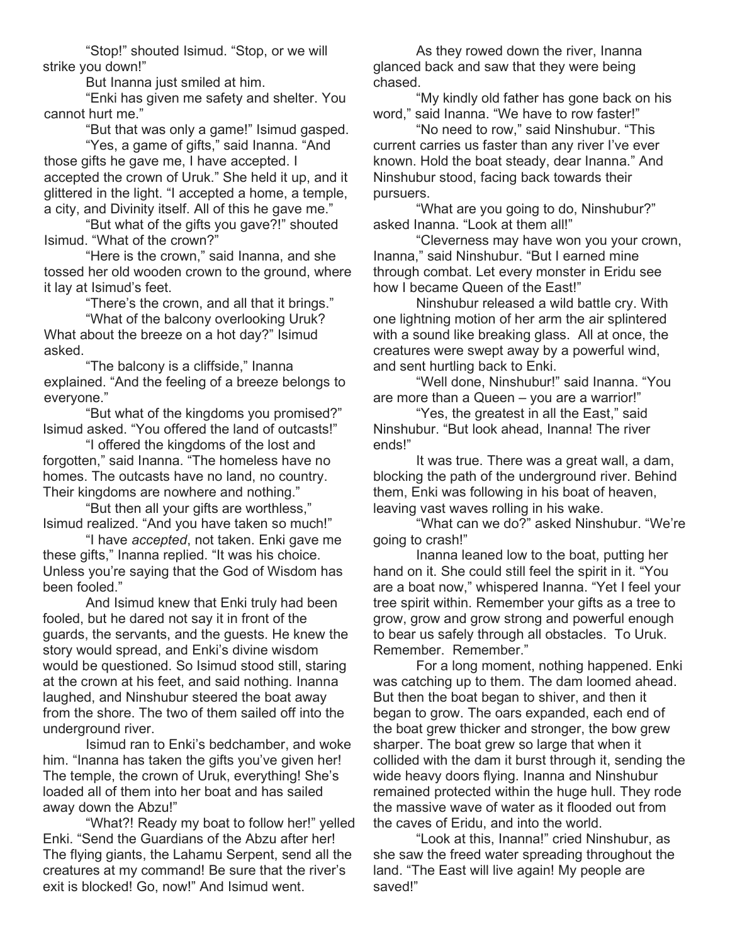"Stop!" shouted Isimud. "Stop, or we will strike you down!"

But Inanna just smiled at him.

 "Enki has given me safety and shelter. You cannot hurt me."

"But that was only a game!" Isimud gasped.

 "Yes, a game of gifts," said Inanna. "And those gifts he gave me, I have accepted. I accepted the crown of Uruk." She held it up, and it glittered in the light. "I accepted a home, a temple, a city, and Divinity itself. All of this he gave me."

 "But what of the gifts you gave?!" shouted Isimud. "What of the crown?"

 "Here is the crown," said Inanna, and she tossed her old wooden crown to the ground, where it lay at Isimud's feet.

"There's the crown, and all that it brings."

 "What of the balcony overlooking Uruk? What about the breeze on a hot day?" Isimud asked.

 "The balcony is a cliffside," Inanna explained. "And the feeling of a breeze belongs to everyone."

 "But what of the kingdoms you promised?" Isimud asked. "You offered the land of outcasts!"

 "I offered the kingdoms of the lost and forgotten," said Inanna. "The homeless have no homes. The outcasts have no land, no country. Their kingdoms are nowhere and nothing."

 "But then all your gifts are worthless," Isimud realized. "And you have taken so much!"

 "I have accepted, not taken. Enki gave me these gifts," Inanna replied. "It was his choice. Unless you're saying that the God of Wisdom has been fooled."

 And Isimud knew that Enki truly had been fooled, but he dared not say it in front of the guards, the servants, and the guests. He knew the story would spread, and Enki's divine wisdom would be questioned. So Isimud stood still, staring at the crown at his feet, and said nothing. Inanna laughed, and Ninshubur steered the boat away from the shore. The two of them sailed off into the underground river.

 Isimud ran to Enki's bedchamber, and woke him. "Inanna has taken the gifts you've given her! The temple, the crown of Uruk, everything! She's loaded all of them into her boat and has sailed away down the Abzu!"

 "What?! Ready my boat to follow her!" yelled Enki. "Send the Guardians of the Abzu after her! The flying giants, the Lahamu Serpent, send all the creatures at my command! Be sure that the river's exit is blocked! Go, now!" And Isimud went.

 As they rowed down the river, Inanna glanced back and saw that they were being chased.

 "My kindly old father has gone back on his word," said Inanna. "We have to row faster!"

 "No need to row," said Ninshubur. "This current carries us faster than any river I've ever known. Hold the boat steady, dear Inanna." And Ninshubur stood, facing back towards their pursuers.

 "What are you going to do, Ninshubur?" asked Inanna. "Look at them all!"

 "Cleverness may have won you your crown, Inanna," said Ninshubur. "But I earned mine through combat. Let every monster in Eridu see how I became Queen of the East!"

 Ninshubur released a wild battle cry. With one lightning motion of her arm the air splintered with a sound like breaking glass. All at once, the creatures were swept away by a powerful wind, and sent hurtling back to Enki.

 "Well done, Ninshubur!" said Inanna. "You are more than a Queen – you are a warrior!"

 "Yes, the greatest in all the East," said Ninshubur. "But look ahead, Inanna! The river ends!"

 It was true. There was a great wall, a dam, blocking the path of the underground river. Behind them, Enki was following in his boat of heaven, leaving vast waves rolling in his wake.

 "What can we do?" asked Ninshubur. "We're going to crash!"

 Inanna leaned low to the boat, putting her hand on it. She could still feel the spirit in it. "You are a boat now," whispered Inanna. "Yet I feel your tree spirit within. Remember your gifts as a tree to grow, grow and grow strong and powerful enough to bear us safely through all obstacles. To Uruk. Remember. Remember."

For a long moment, nothing happened. Enki was catching up to them. The dam loomed ahead. But then the boat began to shiver, and then it began to grow. The oars expanded, each end of the boat grew thicker and stronger, the bow grew sharper. The boat grew so large that when it collided with the dam it burst through it, sending the wide heavy doors flying. Inanna and Ninshubur remained protected within the huge hull. They rode the massive wave of water as it flooded out from the caves of Eridu, and into the world.

 "Look at this, Inanna!" cried Ninshubur, as she saw the freed water spreading throughout the land. "The East will live again! My people are saved!"